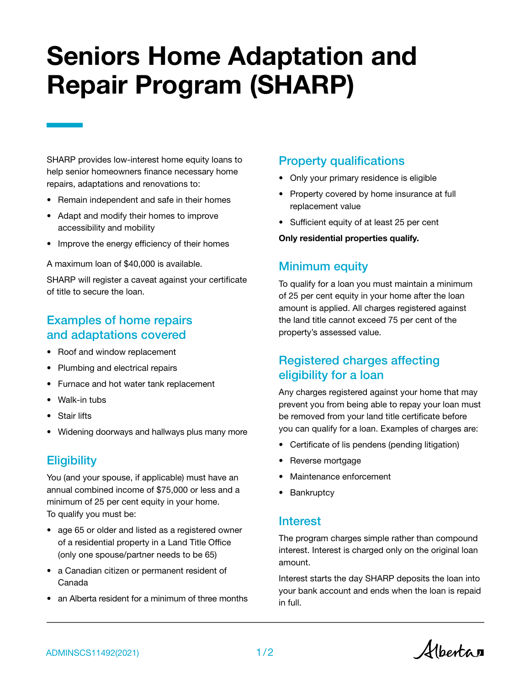# Seniors Home Adaptation and Repair Program (SHARP)

SHARP provides low-interest home equity loans to help senior homeowners finance necessary home repairs, adaptations and renovations to:

- Remain independent and safe in their homes
- Adapt and modify their homes to improve accessibility and mobility
- Improve the energy efficiency of their homes

A maximum loan of \$40,000 is available.

SHARP will register a caveat against your certificate of title to secure the loan.

# Examples of home repairs and adaptations covered

- Roof and window replacement
- Plumbing and electrical repairs
- Furnace and hot water tank replacement
- Walk-in tubs
- **Stair lifts**
- Widening doorways and hallways plus many more

## **Eligibility**

You (and your spouse, if applicable) must have an annual combined income of \$75,000 or less and a minimum of 25 per cent equity in your home. To qualify you must be:

- age 65 or older and listed as a registered owner of a residential property in a Land Title Office (only one spouse/partner needs to be 65)
- a Canadian citizen or permanent resident of Canada
- an Alberta resident for a minimum of three months

#### Property qualifications

- Only your primary residence is eligible
- Property covered by home insurance at full replacement value
- Sufficient equity of at least 25 per cent

#### Only residential properties qualify.

#### Minimum equity

To qualify for a loan you must maintain a minimum of 25 per cent equity in your home after the loan amount is applied. All charges registered against the land title cannot exceed 75 per cent of the property's assessed value.

## Registered charges affecting eligibility for a loan

Any charges registered against your home that may prevent you from being able to repay your loan must be removed from your land title certificate before you can qualify for a loan. Examples of charges are:

- Certificate of lis pendens (pending litigation)
- Reverse mortgage
- Maintenance enforcement
- Bankruptcy

#### Interest

The program charges simple rather than compound interest. Interest is charged only on the original loan amount.

Interest starts the day SHARP deposits the loan into your bank account and ends when the loan is repaid in full.

Albertan